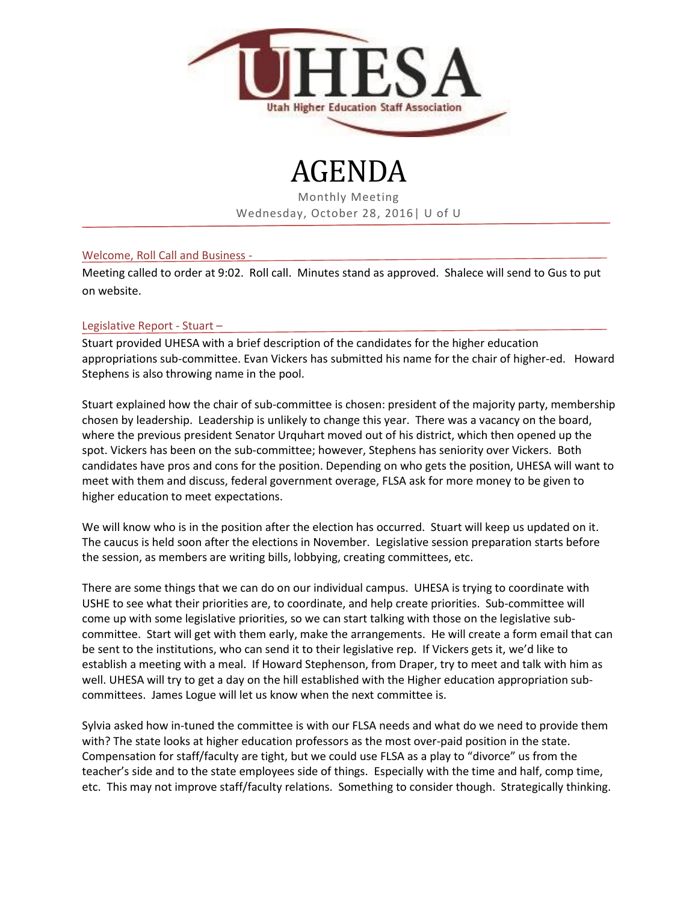

# AGENDA

Monthly Meeting Wednesday, October 28, 2016| U of U

## Welcome, Roll Call and Business -

Meeting called to order at 9:02. Roll call. Minutes stand as approved. Shalece will send to Gus to put on website.

# Legislative Report - Stuart –

Stuart provided UHESA with a brief description of the candidates for the higher education appropriations sub-committee. Evan Vickers has submitted his name for the chair of higher-ed. Howard Stephens is also throwing name in the pool.

Stuart explained how the chair of sub-committee is chosen: president of the majority party, membership chosen by leadership. Leadership is unlikely to change this year. There was a vacancy on the board, where the previous president Senator Urquhart moved out of his district, which then opened up the spot. Vickers has been on the sub-committee; however, Stephens has seniority over Vickers. Both candidates have pros and cons for the position. Depending on who gets the position, UHESA will want to meet with them and discuss, federal government overage, FLSA ask for more money to be given to higher education to meet expectations.

We will know who is in the position after the election has occurred. Stuart will keep us updated on it. The caucus is held soon after the elections in November. Legislative session preparation starts before the session, as members are writing bills, lobbying, creating committees, etc.

There are some things that we can do on our individual campus. UHESA is trying to coordinate with USHE to see what their priorities are, to coordinate, and help create priorities. Sub-committee will come up with some legislative priorities, so we can start talking with those on the legislative subcommittee. Start will get with them early, make the arrangements. He will create a form email that can be sent to the institutions, who can send it to their legislative rep. If Vickers gets it, we'd like to establish a meeting with a meal. If Howard Stephenson, from Draper, try to meet and talk with him as well. UHESA will try to get a day on the hill established with the Higher education appropriation subcommittees. James Logue will let us know when the next committee is.

Sylvia asked how in-tuned the committee is with our FLSA needs and what do we need to provide them with? The state looks at higher education professors as the most over-paid position in the state. Compensation for staff/faculty are tight, but we could use FLSA as a play to "divorce" us from the teacher's side and to the state employees side of things. Especially with the time and half, comp time, etc. This may not improve staff/faculty relations. Something to consider though. Strategically thinking.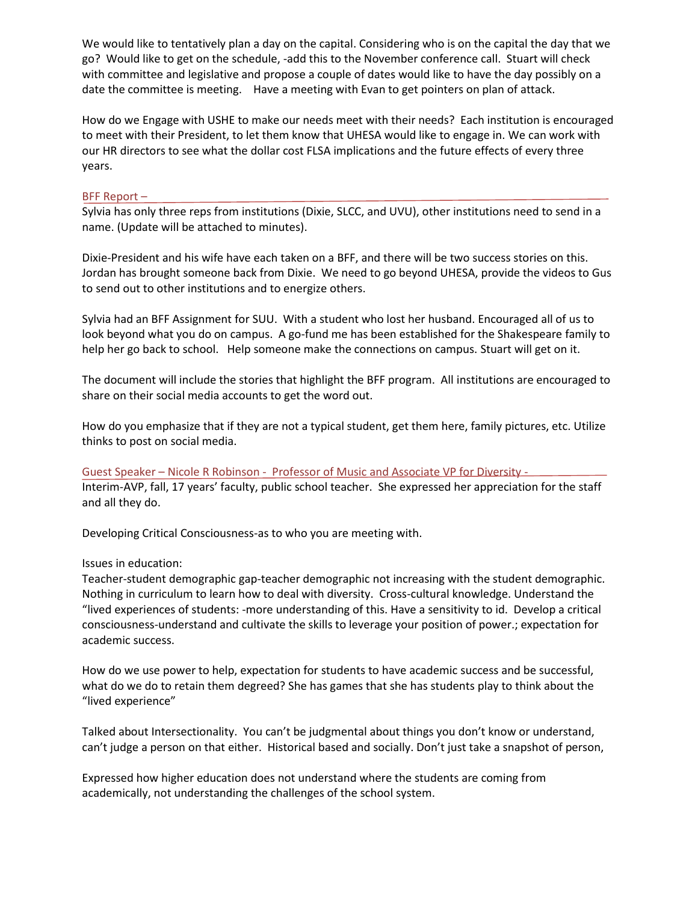We would like to tentatively plan a day on the capital. Considering who is on the capital the day that we go? Would like to get on the schedule, -add this to the November conference call. Stuart will check with committee and legislative and propose a couple of dates would like to have the day possibly on a date the committee is meeting. Have a meeting with Evan to get pointers on plan of attack.

How do we Engage with USHE to make our needs meet with their needs? Each institution is encouraged to meet with their President, to let them know that UHESA would like to engage in. We can work with our HR directors to see what the dollar cost FLSA implications and the future effects of every three years.

#### BFF Report –

Sylvia has only three reps from institutions (Dixie, SLCC, and UVU), other institutions need to send in a name. (Update will be attached to minutes).

Dixie-President and his wife have each taken on a BFF, and there will be two success stories on this. Jordan has brought someone back from Dixie. We need to go beyond UHESA, provide the videos to Gus to send out to other institutions and to energize others.

Sylvia had an BFF Assignment for SUU. With a student who lost her husband. Encouraged all of us to look beyond what you do on campus. A go-fund me has been established for the Shakespeare family to help her go back to school. Help someone make the connections on campus. Stuart will get on it.

The document will include the stories that highlight the BFF program. All institutions are encouraged to share on their social media accounts to get the word out.

How do you emphasize that if they are not a typical student, get them here, family pictures, etc. Utilize thinks to post on social media.

Guest Speaker – Nicole R Robinson - Professor of Music and Associate VP for Diversity - Interim-AVP, fall, 17 years' faculty, public school teacher. She expressed her appreciation for the staff and all they do.

Developing Critical Consciousness-as to who you are meeting with.

## Issues in education:

Teacher-student demographic gap-teacher demographic not increasing with the student demographic. Nothing in curriculum to learn how to deal with diversity. Cross-cultural knowledge. Understand the "lived experiences of students: -more understanding of this. Have a sensitivity to id. Develop a critical consciousness-understand and cultivate the skills to leverage your position of power.; expectation for academic success.

How do we use power to help, expectation for students to have academic success and be successful, what do we do to retain them degreed? She has games that she has students play to think about the "lived experience"

Talked about Intersectionality. You can't be judgmental about things you don't know or understand, can't judge a person on that either. Historical based and socially. Don't just take a snapshot of person,

Expressed how higher education does not understand where the students are coming from academically, not understanding the challenges of the school system.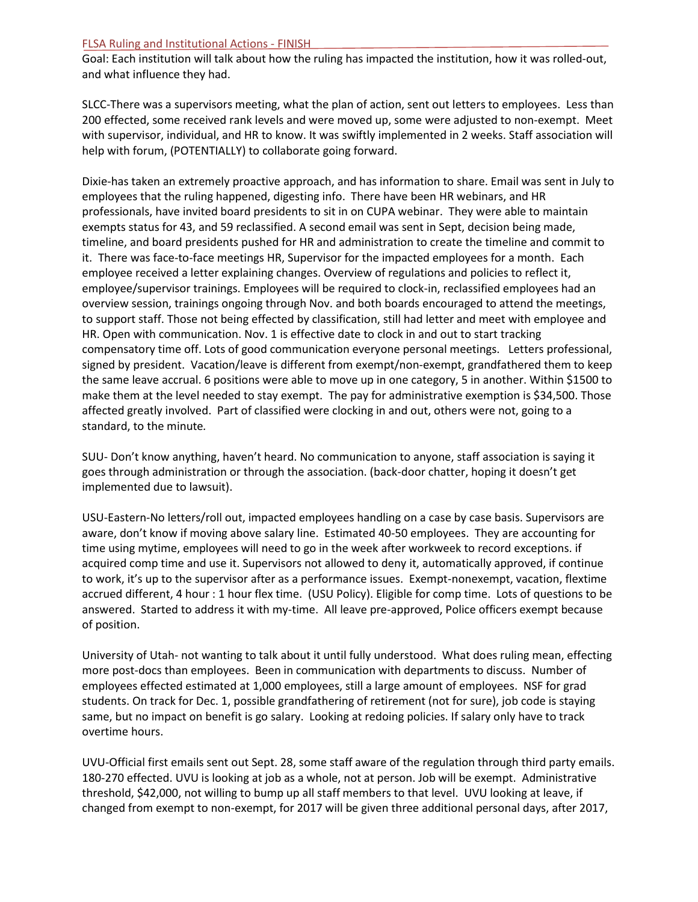#### FLSA Ruling and Institutional Actions - FINISH

Goal: Each institution will talk about how the ruling has impacted the institution, how it was rolled-out, and what influence they had.

SLCC-There was a supervisors meeting, what the plan of action, sent out letters to employees. Less than 200 effected, some received rank levels and were moved up, some were adjusted to non-exempt. Meet with supervisor, individual, and HR to know. It was swiftly implemented in 2 weeks. Staff association will help with forum, (POTENTIALLY) to collaborate going forward.

Dixie-has taken an extremely proactive approach, and has information to share. Email was sent in July to employees that the ruling happened, digesting info. There have been HR webinars, and HR professionals, have invited board presidents to sit in on CUPA webinar. They were able to maintain exempts status for 43, and 59 reclassified. A second email was sent in Sept, decision being made, timeline, and board presidents pushed for HR and administration to create the timeline and commit to it. There was face-to-face meetings HR, Supervisor for the impacted employees for a month. Each employee received a letter explaining changes. Overview of regulations and policies to reflect it, employee/supervisor trainings. Employees will be required to clock-in, reclassified employees had an overview session, trainings ongoing through Nov. and both boards encouraged to attend the meetings, to support staff. Those not being effected by classification, still had letter and meet with employee and HR. Open with communication. Nov. 1 is effective date to clock in and out to start tracking compensatory time off. Lots of good communication everyone personal meetings. Letters professional, signed by president. Vacation/leave is different from exempt/non-exempt, grandfathered them to keep the same leave accrual. 6 positions were able to move up in one category, 5 in another. Within \$1500 to make them at the level needed to stay exempt. The pay for administrative exemption is \$34,500. Those affected greatly involved. Part of classified were clocking in and out, others were not, going to a standard, to the minute*.*

SUU- Don't know anything, haven't heard. No communication to anyone, staff association is saying it goes through administration or through the association. (back-door chatter, hoping it doesn't get implemented due to lawsuit).

USU-Eastern-No letters/roll out, impacted employees handling on a case by case basis. Supervisors are aware, don't know if moving above salary line. Estimated 40-50 employees. They are accounting for time using mytime, employees will need to go in the week after workweek to record exceptions. if acquired comp time and use it. Supervisors not allowed to deny it, automatically approved, if continue to work, it's up to the supervisor after as a performance issues. Exempt-nonexempt, vacation, flextime accrued different, 4 hour : 1 hour flex time. (USU Policy). Eligible for comp time. Lots of questions to be answered. Started to address it with my-time. All leave pre-approved, Police officers exempt because of position.

University of Utah- not wanting to talk about it until fully understood. What does ruling mean, effecting more post-docs than employees. Been in communication with departments to discuss. Number of employees effected estimated at 1,000 employees, still a large amount of employees. NSF for grad students. On track for Dec. 1, possible grandfathering of retirement (not for sure), job code is staying same, but no impact on benefit is go salary. Looking at redoing policies. If salary only have to track overtime hours.

UVU-Official first emails sent out Sept. 28, some staff aware of the regulation through third party emails. 180-270 effected. UVU is looking at job as a whole, not at person. Job will be exempt. Administrative threshold, \$42,000, not willing to bump up all staff members to that level. UVU looking at leave, if changed from exempt to non-exempt, for 2017 will be given three additional personal days, after 2017,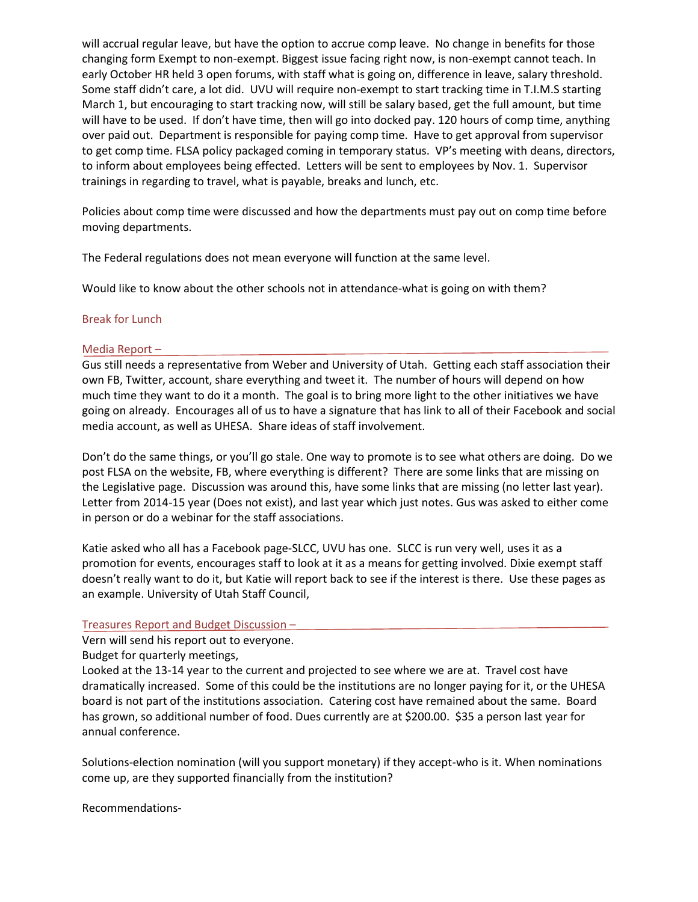will accrual regular leave, but have the option to accrue comp leave. No change in benefits for those changing form Exempt to non-exempt. Biggest issue facing right now, is non-exempt cannot teach. In early October HR held 3 open forums, with staff what is going on, difference in leave, salary threshold. Some staff didn't care, a lot did. UVU will require non-exempt to start tracking time in T.I.M.S starting March 1, but encouraging to start tracking now, will still be salary based, get the full amount, but time will have to be used. If don't have time, then will go into docked pay. 120 hours of comp time, anything over paid out. Department is responsible for paying comp time. Have to get approval from supervisor to get comp time. FLSA policy packaged coming in temporary status. VP's meeting with deans, directors, to inform about employees being effected. Letters will be sent to employees by Nov. 1. Supervisor trainings in regarding to travel, what is payable, breaks and lunch, etc.

Policies about comp time were discussed and how the departments must pay out on comp time before moving departments.

The Federal regulations does not mean everyone will function at the same level.

Would like to know about the other schools not in attendance-what is going on with them?

## Break for Lunch

#### Media Report –

Gus still needs a representative from Weber and University of Utah. Getting each staff association their own FB, Twitter, account, share everything and tweet it. The number of hours will depend on how much time they want to do it a month. The goal is to bring more light to the other initiatives we have going on already. Encourages all of us to have a signature that has link to all of their Facebook and social media account, as well as UHESA. Share ideas of staff involvement.

Don't do the same things, or you'll go stale. One way to promote is to see what others are doing. Do we post FLSA on the website, FB, where everything is different? There are some links that are missing on the Legislative page. Discussion was around this, have some links that are missing (no letter last year). Letter from 2014-15 year (Does not exist), and last year which just notes. Gus was asked to either come in person or do a webinar for the staff associations.

Katie asked who all has a Facebook page-SLCC, UVU has one. SLCC is run very well, uses it as a promotion for events, encourages staff to look at it as a means for getting involved. Dixie exempt staff doesn't really want to do it, but Katie will report back to see if the interest is there. Use these pages as an example. University of Utah Staff Council,

## Treasures Report and Budget Discussion –

Vern will send his report out to everyone.

## Budget for quarterly meetings,

Looked at the 13-14 year to the current and projected to see where we are at. Travel cost have dramatically increased. Some of this could be the institutions are no longer paying for it, or the UHESA board is not part of the institutions association. Catering cost have remained about the same. Board has grown, so additional number of food. Dues currently are at \$200.00. \$35 a person last year for annual conference.

Solutions-election nomination (will you support monetary) if they accept-who is it. When nominations come up, are they supported financially from the institution?

Recommendations-